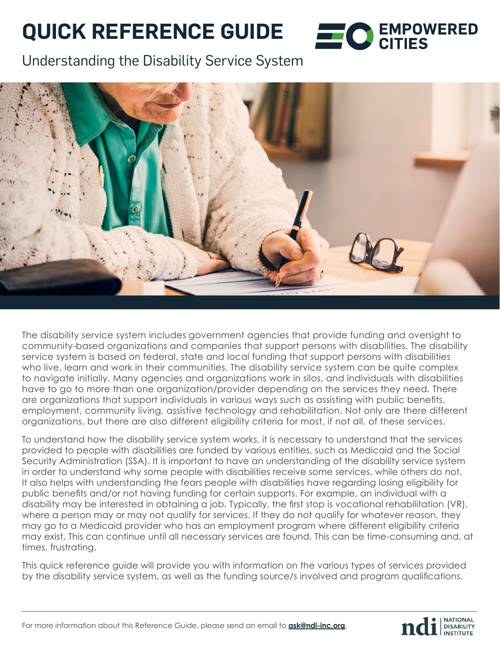# **QUICK REFERENCE GUIDE**

Understanding the Disability Service System



The disability service system includes government agencies that provide funding and oversight to community-based organizations and companies that support persons with disabilities. The disability service system is based on federal, state and local funding that support persons with disabilities who live, learn and work in their communities. The disability service system can be quite complex to navigate initially. Many agencies and organizations work in silos, and individuals with disabilities have to go to more than one organization/provider depending on the services they need. There are organizations that support individuals in various ways such as assisting with public benefits, employment, community living, assistive technology and rehabilitation. Not only are there different organizations, but there are also different eligibility criteria for most, if not all, of these services.

To understand how the disability service system works, it is necessary to understand that the services provided to people with disabilities are funded by various entities, such as Medicaid and the Social Security Administration (SSA). It is important to have an understanding of the disability service system in order to understand why some people with disabilities receive some services, while others do not. It also helps with understanding the fears people with disabilities have regarding losing eligibility for public benefits and/or not having funding for certain supports. For example, an individual with a disability may be interested in obtaining a job. Typically, the first stop is vocational rehabilitation (VR), where a person may or may not qualify for services. If they do not qualify for whatever reason, they may go to a Medicaid provider who has an employment program where different eligibility criteria may exist. This can continue until all necessary services are found. This can be time-consuming and, at times, frustrating.

This quick reference guide will provide you with information on the various types of services provided by the disability service system, as well as the funding source/s involved and program qualifications.



**ENPOWERED**